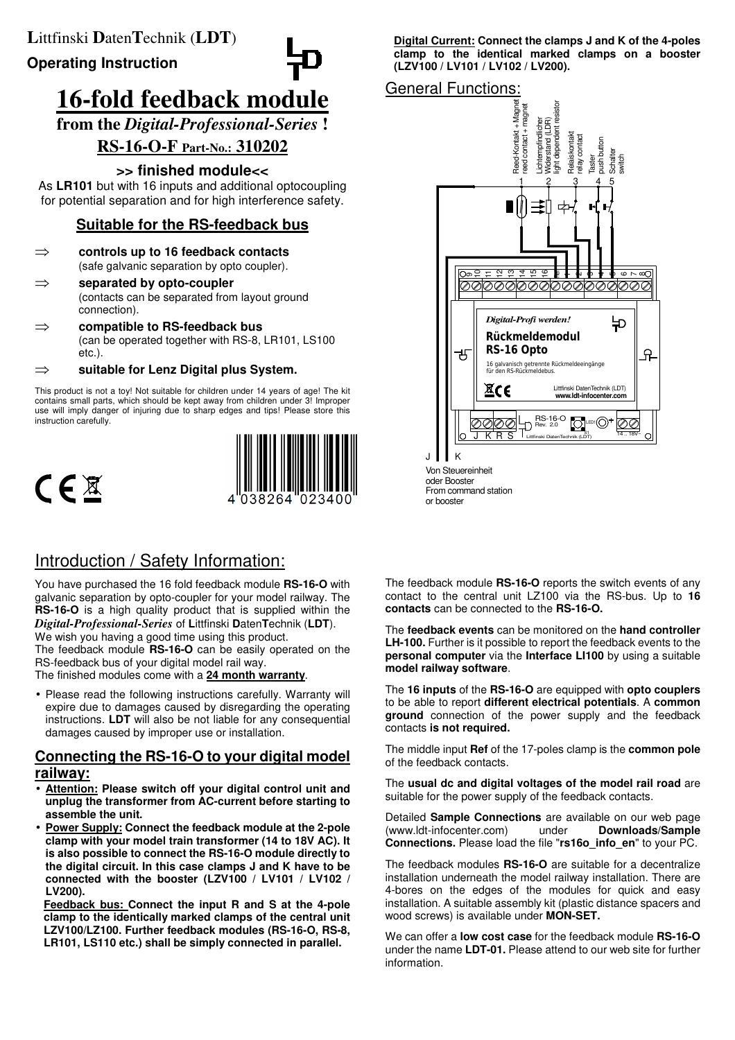**Operating Instruction**

# **16-fold feedback module**

**from the** *Digital-Professional-Series* **!**

# **RS-16-O-F Part-No.: 310202**

## **>> finished module<<**

As **LR101** but with 16 inputs and additional optocoupling for potential separation and for high interference safety.

# **Suitable for the RS-feedback bus**

- ⇒ **controls up to 16 feedback contacts** (safe galvanic separation by opto coupler).
- ⇒ **separated by opto-coupler** (contacts can be separated from layout ground connection).
- ⇒ **compatible to RS-feedback bus** (can be operated together with RS-8, LR101, LS100 etc.).

⇒ **suitable for Lenz Digital plus System.**

This product is not a toy! Not suitable for children under 14 years of age! The kit contains small parts, which should be kept away from children under 3! Improper use will imply danger of injuring due to sharp edges and tips! Please store this instruction carefully.





# Introduction / Safety Information:

You have purchased the 16 fold feedback module **RS-16-O** with galvanic separation by opto-coupler for your model railway. The **RS-16-O** is a high quality product that is supplied within the *Digital-Professional-Series* of **L**ittfinski **D**aten**T**echnik (**LDT**). We wish you having a good time using this product. The feedback module **RS-16-O** can be easily operated on the RS-feedback bus of your digital model rail way. The finished modules come with a **24 month warranty**.

• Please read the following instructions carefully. Warranty will expire due to damages caused by disregarding the operating instructions. **LDT** will also be not liable for any consequential damages caused by improper use or installation.

## **Connecting the RS-16-O to your digital model railway:**

- Attention: Please switch off your digital control unit and **unplug the transformer from AC-current before starting to assemble the unit.**
- **Power Supply: Connect the feedback module at the 2-pole clamp with your model train transformer (14 to 18V AC). It is also possible to connect the RS-16-O module directly to the digital circuit. In this case clamps J and K have to be connected with the booster (LZV100 / LV101 / LV102 / LV200).**

**Feedback bus: Connect the input R and S at the 4-pole clamp to the identically marked clamps of the central unit LZV100/LZ100. Further feedback modules (RS-16-O, RS-8, LR101, LS110 etc.) shall be simply connected in parallel.** 

**Digital Current: Connect the clamps J and K of the 4-poles clamp to the identical marked clamps on a booster (LZV100 / LV101 / LV102 / LV200).** 

## General Functions:

oder Booster From command station

or booster



The feedback module **RS-16-O** reports the switch events of any contact to the central unit LZ100 via the RS-bus. Up to **16**

**contacts** can be connected to the **RS-16-O.** 

The **feedback events** can be monitored on the **hand controller** LH-100. Further is it possible to report the feedback events to the **personal computer** via the **Interface LI100** by using a suitable **model railway software**.

The **16 inputs** of the **RS-16-O** are equipped with **opto couplers** to be able to report **different electrical potentials**. A **common ground** connection of the power supply and the feedback contacts **is not required.** 

The middle input **Ref** of the 17-poles clamp is the **common pole**  of the feedback contacts.

The **usual dc and digital voltages of the model rail road** are suitable for the power supply of the feedback contacts.

Detailed **Sample Connections** are available on our web page (www.ldt-infocenter.com) under **Downloads/Sample Connections.** Please load the file "**rs16o\_info\_en**" to your PC.

The feedback modules **RS-16-O** are suitable for a decentralize installation underneath the model railway installation. There are 4-bores on the edges of the modules for quick and easy installation. A suitable assembly kit (plastic distance spacers and wood screws) is available under **MON-SET.** 

We can offer a **low cost case** for the feedback module **RS-16-O**  under the name **LDT-01.** Please attend to our web site for further information.